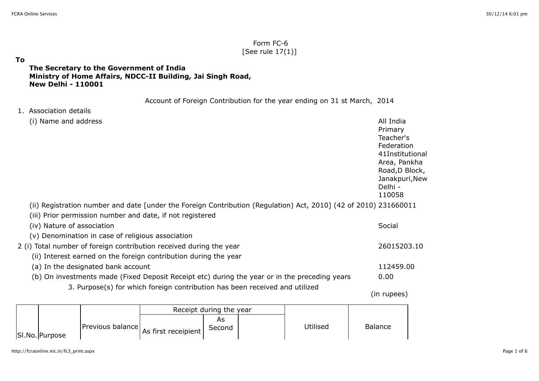## Form FC-6 [See rule 17(1)]

#### **To**

### **The Secretary to the Government of India Ministry of Home Affairs, NDCC-II Building, Jai Singh Road, New Delhi - 110001**

Account of Foreign Contribution for the year ending on 31 st March, 2014

#### 1. Association details

|                                                                     | (i) Name and address       |                                                   |                                                                                                                  | All India<br>Primary<br>Teacher's<br>Federation<br>41Institutional<br>Area, Pankha<br>Road, D Block,<br>Janakpuri, New<br>Delhi -<br>110058 |  |  |
|---------------------------------------------------------------------|----------------------------|---------------------------------------------------|------------------------------------------------------------------------------------------------------------------|---------------------------------------------------------------------------------------------------------------------------------------------|--|--|
|                                                                     |                            |                                                   | (ii) Registration number and date [under the Foreign Contribution (Regulation) Act, 2010] (42 of 2010) 231660011 |                                                                                                                                             |  |  |
|                                                                     |                            |                                                   | (iii) Prior permission number and date, if not registered                                                        |                                                                                                                                             |  |  |
|                                                                     | (iv) Nature of association |                                                   |                                                                                                                  |                                                                                                                                             |  |  |
|                                                                     |                            | (v) Denomination in case of religious association |                                                                                                                  |                                                                                                                                             |  |  |
| 2 (i) Total number of foreign contribution received during the year |                            |                                                   |                                                                                                                  |                                                                                                                                             |  |  |
|                                                                     |                            |                                                   | (ii) Interest earned on the foreign contribution during the year                                                 |                                                                                                                                             |  |  |
|                                                                     |                            | (a) In the designated bank account                |                                                                                                                  | 112459.00                                                                                                                                   |  |  |
|                                                                     |                            |                                                   | (b) On investments made (Fixed Deposit Receipt etc) during the year or in the preceding years                    | 0.00                                                                                                                                        |  |  |
|                                                                     |                            |                                                   | 3. Purpose(s) for which foreign contribution has been received and utilized                                      |                                                                                                                                             |  |  |
|                                                                     |                            |                                                   |                                                                                                                  | (in rupees)                                                                                                                                 |  |  |
|                                                                     |                            |                                                   | Receipt during the year                                                                                          |                                                                                                                                             |  |  |

|                | Receipt during the year                |        |  |          |         |
|----------------|----------------------------------------|--------|--|----------|---------|
| SI.No. Purpose | Previous balance As first receipient l | Second |  | Utilised | Balance |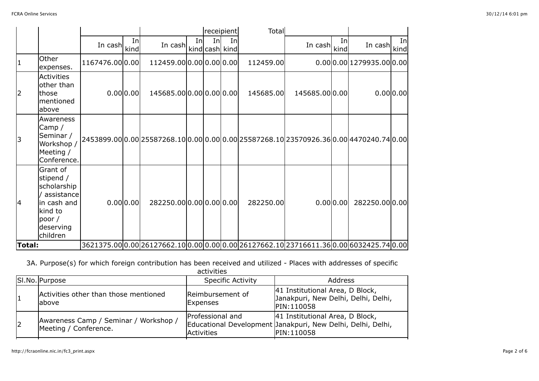|               |                                                                                                                   |                |            |                                                                                         |    |                       | receipient | <b>Total</b> |               |           |                        |             |
|---------------|-------------------------------------------------------------------------------------------------------------------|----------------|------------|-----------------------------------------------------------------------------------------|----|-----------------------|------------|--------------|---------------|-----------|------------------------|-------------|
|               |                                                                                                                   | In cash        | In<br>kind | In cash                                                                                 | In | Inl<br>kind cash kind | Inl        |              | In cash kind  | In        | In cash                | Inl<br>kind |
|               | Other<br>expenses.                                                                                                | 1167476.000.00 |            | 112459.000.000.000.00                                                                   |    |                       |            | 112459.00    |               |           | 0.000.001279935.000.00 |             |
| 2             | <b>Activities</b><br>other than<br>those<br>mentioned<br>above                                                    |                | 0.00 0.00  | 145685.000.000.000.00                                                                   |    |                       |            | 145685.00    | 145685.000.00 |           |                        | 0.00 0.00   |
| 3             | Awareness<br>Camp $/$<br>Seminar /<br>Workshop /<br>Meeting /<br>Conference.                                      |                |            | 2453899.000.00025587268.100.000.000.00025587268.10023570926.360.0004470240.740.00       |    |                       |            |              |               |           |                        |             |
| 4             | Grant of<br>stipend /<br>scholarship<br>assistance<br>in cash and<br>kind to<br>poor $/$<br>deserving<br>children |                | 0.00 0.00  | 282250.000.000.000.00                                                                   |    |                       |            | 282250.00    |               | 0.00 0.00 | 282250.00 0.00         |             |
| <b>Total:</b> |                                                                                                                   |                |            | 3621375.00 0.00 26127662.10 0.00 0.00 0.00 26127662.10 23716611.36 0.00 6032425.74 0.00 |    |                       |            |              |               |           |                        |             |

3A. Purpose(s) for which foreign contribution has been received and utilized - Places with addresses of specific

|   | SI.No. Purpose                                                 | <b>Specific Activity</b>       | Address                                                                                                      |
|---|----------------------------------------------------------------|--------------------------------|--------------------------------------------------------------------------------------------------------------|
|   | Activities other than those mentioned<br>labove                | Reimbursement of<br>Expenses   | 41 Institutional Area, D Block,<br>Janakpuri, New Delhi, Delhi, Delhi,<br><b>IPIN:110058</b>                 |
| 2 | Awareness Camp / Seminar / Workshop /<br>Meeting / Conference. | Professional and<br>Activities | 41 Institutional Area, D Block,<br>Educational Development Janakpuri, New Delhi, Delhi, Delhi,<br>PIN:110058 |

activities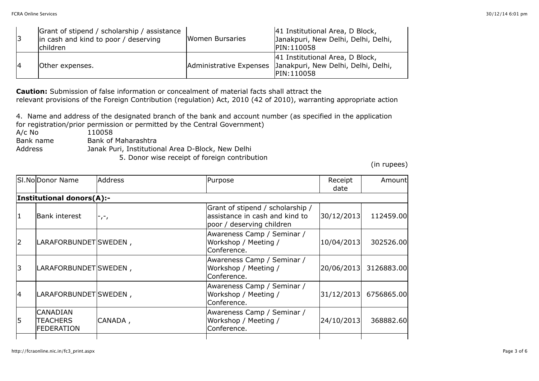|  | Grant of stipend / scholarship / assistance<br>in cash and kind to poor / deserving<br><b>Ichildren</b> | <b>Women Bursaries</b> | 41 Institutional Area, D Block,<br>Janakpuri, New Delhi, Delhi, Delhi,<br><b>IPIN:110058</b>                         |
|--|---------------------------------------------------------------------------------------------------------|------------------------|----------------------------------------------------------------------------------------------------------------------|
|  | Other expenses.                                                                                         |                        | 41 Institutional Area, D Block,<br>Administrative Expenses Janakpuri, New Delhi, Delhi, Delhi,<br><b>IPIN:110058</b> |

**Caution:** Submission of false information or concealment of material facts shall attract the relevant provisions of the Foreign Contribution (regulation) Act, 2010 (42 of 2010), warranting appropriate action

4. Name and address of the designated branch of the bank and account number (as specified in the application for registration/prior permission or permitted by the Central Government)<br>A/c No 110058

- A/c No 110058<br>Bank name Bank of
- Bank of Maharashtra

Address Janak Puri, Institutional Area D-Block, New Delhi

5. Donor wise receipt of foreign contribution

(in rupees)

| SI.NoDonor Name                                         | <b>Address</b>            | Purpose                                                                                                      | Receipt<br>date | Amount     |
|---------------------------------------------------------|---------------------------|--------------------------------------------------------------------------------------------------------------|-----------------|------------|
|                                                         |                           |                                                                                                              |                 |            |
| <b>Bank interest</b>                                    | $\mathsf{L}^{\mathsf{L}}$ | Grant of stipend / scholarship /<br>assistance in cash and kind to<br>poor / deserving children              | 30/12/2013      | 112459.00  |
|                                                         |                           | Awareness Camp / Seminar /<br>Workshop / Meeting /<br>Conference.                                            | 10/04/2013      | 302526.00  |
|                                                         |                           | Awareness Camp / Seminar /<br>Workshop / Meeting /<br>Conference.                                            | 20/06/2013      | 3126883.00 |
|                                                         |                           | Awareness Camp / Seminar /<br>Workshop / Meeting /<br>Conference.                                            | 31/12/2013      | 6756865.00 |
| <b>CANADIAN</b><br><b>TEACHERS</b><br><b>FEDERATION</b> | CANADA,                   | Awareness Camp / Seminar /<br>Workshop / Meeting /<br>Conference.                                            | 24/10/2013      | 368882.60  |
|                                                         |                           | <b>Institutional donors(A):-</b><br>LARAFORBUNDET SWEDEN,<br>LARAFORBUNDET SWEDEN,<br> LARAFORBUNDET SWEDEN, |                 |            |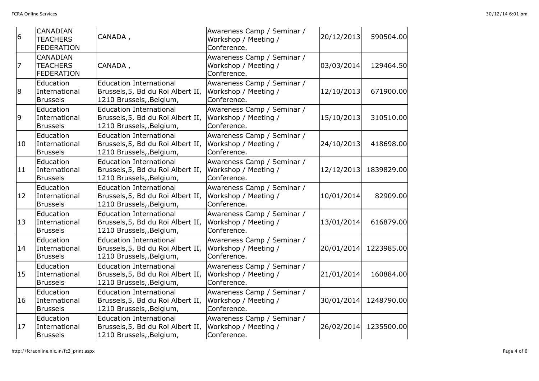| 6            | <b>CANADIAN</b><br><b>TEACHERS</b><br><b>FEDERATION</b> | CANADA,                                                                                         | Awareness Camp / Seminar /<br>Workshop / Meeting /<br>Conference. | 20/12/2013 | 590504.00  |
|--------------|---------------------------------------------------------|-------------------------------------------------------------------------------------------------|-------------------------------------------------------------------|------------|------------|
| 17           | <b>CANADIAN</b><br><b>TEACHERS</b><br><b>FEDERATION</b> | CANADA,                                                                                         | Awareness Camp / Seminar /<br>Workshop / Meeting /<br>Conference. | 03/03/2014 | 129464.50  |
| 8            | Education<br>International<br><b>Brussels</b>           | <b>Education International</b><br>Brussels, 5, Bd du Roi Albert II,<br>1210 Brussels,, Belgium, | Awareness Camp / Seminar /<br>Workshop / Meeting /<br>Conference. | 12/10/2013 | 671900.00  |
| 9            | Education<br>International<br><b>Brussels</b>           | <b>Education International</b><br>Brussels, 5, Bd du Roi Albert II,<br>1210 Brussels,, Belgium, | Awareness Camp / Seminar /<br>Workshop / Meeting /<br>Conference. | 15/10/2013 | 310510.00  |
| 10           | Education<br>International<br><b>Brussels</b>           | <b>Education International</b><br>Brussels, 5, Bd du Roi Albert II,<br>1210 Brussels,, Belgium, | Awareness Camp / Seminar /<br>Workshop / Meeting /<br>Conference. | 24/10/2013 | 418698.00  |
| 11           | Education<br>International<br><b>Brussels</b>           | <b>Education International</b><br>Brussels, 5, Bd du Roi Albert II,<br>1210 Brussels,, Belgium, | Awareness Camp / Seminar /<br>Workshop / Meeting /<br>Conference. | 12/12/2013 | 1839829.00 |
| $ 12\rangle$ | Education<br>International<br><b>Brussels</b>           | <b>Education International</b><br>Brussels, 5, Bd du Roi Albert II,<br>1210 Brussels,, Belgium, | Awareness Camp / Seminar /<br>Workshop / Meeting /<br>Conference. | 10/01/2014 | 82909.00   |
| 13           | Education<br>International<br><b>Brussels</b>           | <b>Education International</b><br>Brussels, 5, Bd du Roi Albert II,<br>1210 Brussels,, Belgium, | Awareness Camp / Seminar /<br>Workshop / Meeting /<br>Conference. | 13/01/2014 | 616879.00  |
| 14           | Education<br>International<br><b>Brussels</b>           | <b>Education International</b><br>Brussels, 5, Bd du Roi Albert II,<br>1210 Brussels,, Belgium, | Awareness Camp / Seminar /<br>Workshop / Meeting /<br>Conference. | 20/01/2014 | 1223985.00 |
| 15           | Education<br>International<br><b>Brussels</b>           | <b>Education International</b><br>Brussels, 5, Bd du Roi Albert II,<br>1210 Brussels,, Belgium, | Awareness Camp / Seminar /<br>Workshop / Meeting /<br>Conference. | 21/01/2014 | 160884.00  |
| 16           | Education<br>International<br><b>Brussels</b>           | <b>Education International</b><br>Brussels, 5, Bd du Roi Albert II,<br>1210 Brussels,, Belgium, | Awareness Camp / Seminar /<br>Workshop / Meeting /<br>Conference. | 30/01/2014 | 1248790.00 |
| 17           | Education<br>International<br><b>Brussels</b>           | <b>Education International</b><br>Brussels, 5, Bd du Roi Albert II,<br>1210 Brussels, Belgium,  | Awareness Camp / Seminar /<br>Workshop / Meeting /<br>Conference. | 26/02/2014 | 1235500.00 |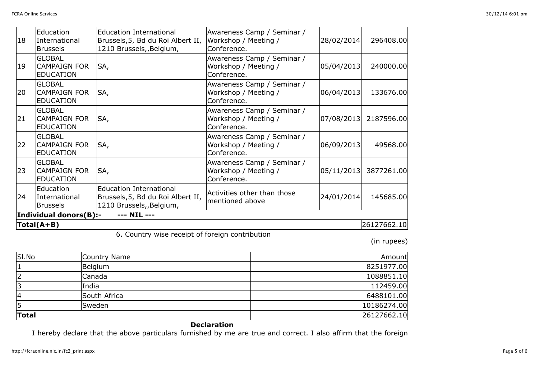| 18         | Education<br>International<br><b>Brussels</b>            | <b>Education International</b><br>Brussels, 5, Bd du Roi Albert II,<br>1210 Brussels,, Belgium, | Awareness Camp / Seminar /<br>Workshop / Meeting /<br>Conference. | 28/02/2014 | 296408.00   |
|------------|----------------------------------------------------------|-------------------------------------------------------------------------------------------------|-------------------------------------------------------------------|------------|-------------|
| 19         | <b>GLOBAL</b><br><b>CAMPAIGN FOR</b><br><b>EDUCATION</b> | SA,                                                                                             | Awareness Camp / Seminar /<br>Workshop / Meeting /<br>Conference. | 05/04/2013 | 240000.00   |
| 20         | <b>GLOBAL</b><br><b>CAMPAIGN FOR</b><br><b>EDUCATION</b> | SA,                                                                                             | Awareness Camp / Seminar /<br>Workshop / Meeting /<br>Conference. | 06/04/2013 | 133676.00   |
| 21         | <b>GLOBAL</b><br><b>CAMPAIGN FOR</b><br><b>EDUCATION</b> | SA,                                                                                             | Awareness Camp / Seminar /<br>Workshop / Meeting /<br>Conference. | 07/08/2013 | 2187596.00  |
| 22         | <b>GLOBAL</b><br><b>CAMPAIGN FOR</b><br><b>EDUCATION</b> | SA,                                                                                             | Awareness Camp / Seminar /<br>Workshop / Meeting /<br>Conference. | 06/09/2013 | 49568.00    |
| 23         | <b>GLOBAL</b><br><b>CAMPAIGN FOR</b><br><b>EDUCATION</b> | SA,                                                                                             | Awareness Camp / Seminar /<br>Workshop / Meeting /<br>Conference. | 05/11/2013 | 3877261.00  |
| 24         | Education<br>International<br><b>Brussels</b>            | <b>Education International</b><br>Brussels, 5, Bd du Roi Albert II,<br>1210 Brussels,, Belgium, | Activities other than those<br>mentioned above                    | 24/01/2014 | 145685.00   |
|            | Individual donors(B):-                                   | --- NIL ---                                                                                     |                                                                   |            |             |
| Total(A+B) |                                                          |                                                                                                 |                                                                   |            | 26127662.10 |

6. Country wise receipt of foreign contribution

(in rupees)

| SI.No        | Country Name | Amount      |
|--------------|--------------|-------------|
| $\mathbf{1}$ | Belgium      | 8251977.00  |
| 2            | Canada       | 1088851.10  |
| 3            | India        | 112459.00   |
| 4            | South Africa | 6488101.00  |
| 5            | Sweden       | 10186274.00 |
| <b>Total</b> |              | 26127662.10 |

# **Declaration**

I hereby declare that the above particulars furnished by me are true and correct. I also affirm that the foreign